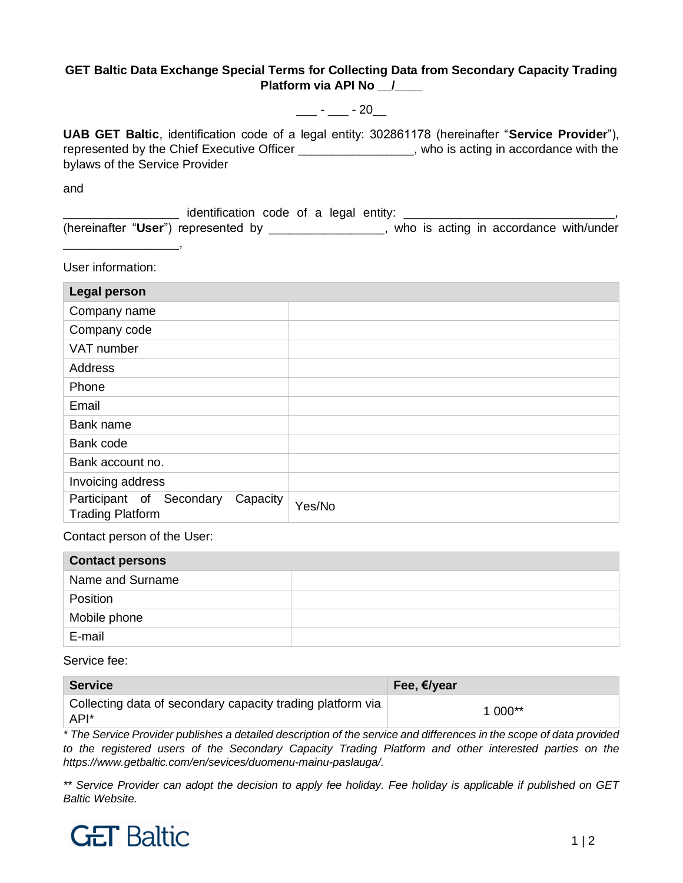## **GET Baltic Data Exchange Special Terms for Collecting Data from Secondary Capacity Trading Platform via API No \_\_/\_\_\_\_**

 $\frac{1}{2}$  -  $\frac{1}{20}$  - 20

**UAB GET Baltic**, identification code of a legal entity: 302861178 (hereinafter "**Service Provider**"), represented by the Chief Executive Officer \_\_\_\_\_\_\_\_\_\_\_\_\_\_\_\_\_, who is acting in accordance with the bylaws of the Service Provider

and

 $\Box$  identification code of a legal entity:  $\Box$ (hereinafter "**User**") represented by \_\_\_\_\_\_\_\_\_\_\_\_\_\_\_\_\_, who is acting in accordance with/under \_\_\_\_\_\_\_\_\_\_\_\_\_\_\_\_\_,

User information:

| <b>Legal person</b>                                             |        |
|-----------------------------------------------------------------|--------|
| Company name                                                    |        |
| Company code                                                    |        |
| VAT number                                                      |        |
| Address                                                         |        |
| Phone                                                           |        |
| Email                                                           |        |
| Bank name                                                       |        |
| Bank code                                                       |        |
| Bank account no.                                                |        |
| Invoicing address                                               |        |
| Participant of Secondary<br>Capacity<br><b>Trading Platform</b> | Yes/No |

Contact person of the User:

| <b>Contact persons</b> |  |
|------------------------|--|
| Name and Surname       |  |
| Position               |  |
| Mobile phone           |  |
| E-mail                 |  |

Service fee:

| <b>Service</b>                                                     | Fee, €/year |
|--------------------------------------------------------------------|-------------|
| Collecting data of secondary capacity trading platform via<br>API* | $1000**$    |

*\* The Service Provider publishes a detailed description of the service and differences in the scope of data provided*  to the registered users of the Secondary Capacity Trading Platform and other interested parties on the *https://www.getbaltic.com/en/sevices/duomenu-mainu-paslauga/.*

*\*\* Service Provider can adopt the decision to apply fee holiday. Fee holiday is applicable if published on GET Baltic Website.*